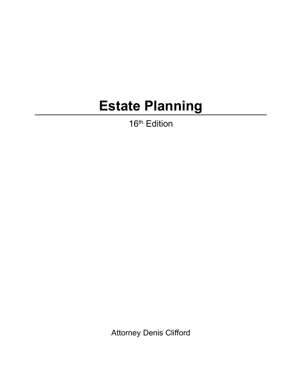## **Estate Planning**

16<sup>th</sup> Edition

Attorney Denis Clifford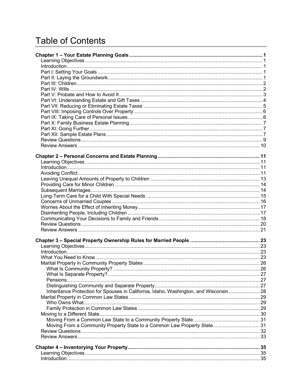## **Table of Contents**

| Inheritance Protection for Spouses in California, Idaho, Washington, and Wisconsin 28 |  |
|---------------------------------------------------------------------------------------|--|
|                                                                                       |  |
|                                                                                       |  |
|                                                                                       |  |
|                                                                                       |  |
|                                                                                       |  |
| Moving From a Community Property State to a Common Law Property State 31              |  |
|                                                                                       |  |
|                                                                                       |  |
|                                                                                       |  |
|                                                                                       |  |
|                                                                                       |  |
|                                                                                       |  |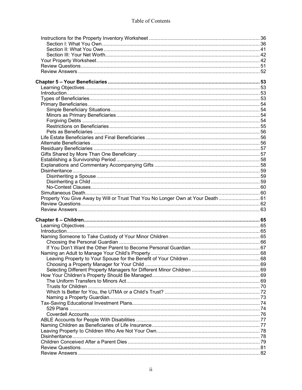| Property You Give Away by Will or Trust That You No Longer Own at Your Death  61 |  |
|----------------------------------------------------------------------------------|--|
|                                                                                  |  |
|                                                                                  |  |
|                                                                                  |  |
|                                                                                  |  |
|                                                                                  |  |
|                                                                                  |  |
|                                                                                  |  |
|                                                                                  |  |
|                                                                                  |  |
|                                                                                  |  |
|                                                                                  |  |
|                                                                                  |  |
|                                                                                  |  |
|                                                                                  |  |
|                                                                                  |  |
|                                                                                  |  |
|                                                                                  |  |
|                                                                                  |  |
|                                                                                  |  |
|                                                                                  |  |
|                                                                                  |  |
|                                                                                  |  |
|                                                                                  |  |
|                                                                                  |  |
|                                                                                  |  |
|                                                                                  |  |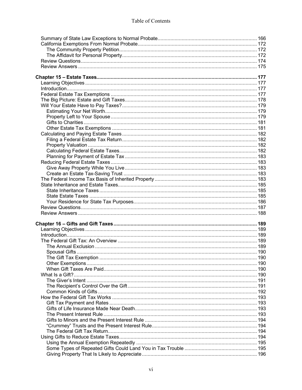| 190 |
|-----|
|     |
|     |
|     |
|     |
|     |
|     |
|     |
|     |
|     |
|     |
|     |
|     |
|     |
|     |
|     |
|     |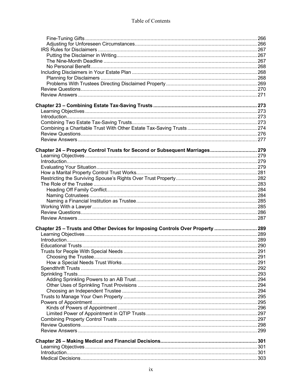| Chapter 24 - Property Control Trusts for Second or Subsequent Marriages 279    |  |
|--------------------------------------------------------------------------------|--|
|                                                                                |  |
|                                                                                |  |
|                                                                                |  |
|                                                                                |  |
|                                                                                |  |
|                                                                                |  |
|                                                                                |  |
|                                                                                |  |
|                                                                                |  |
|                                                                                |  |
|                                                                                |  |
|                                                                                |  |
| Chapter 25 - Trusts and Other Devices for Imposing Controls Over Property  289 |  |
|                                                                                |  |
|                                                                                |  |
|                                                                                |  |
|                                                                                |  |
|                                                                                |  |
|                                                                                |  |
|                                                                                |  |
|                                                                                |  |
|                                                                                |  |
|                                                                                |  |
|                                                                                |  |
|                                                                                |  |
|                                                                                |  |
|                                                                                |  |
|                                                                                |  |
|                                                                                |  |
|                                                                                |  |
|                                                                                |  |
|                                                                                |  |
|                                                                                |  |
|                                                                                |  |
|                                                                                |  |
|                                                                                |  |